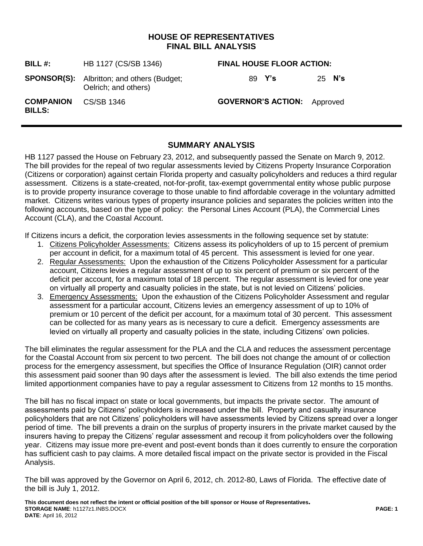## **HOUSE OF REPRESENTATIVES FINAL BILL ANALYSIS**

| BILL#:                            | HB 1127 (CS/SB 1346)                                                      | <b>FINAL HOUSE FLOOR ACTION:</b>   |        |
|-----------------------------------|---------------------------------------------------------------------------|------------------------------------|--------|
|                                   | <b>SPONSOR(S):</b> Albritton; and others (Budget;<br>Oelrich; and others) | 89 Y's                             | 25 N's |
| <b>COMPANION</b><br><b>BILLS:</b> | CS/SB 1346                                                                | <b>GOVERNOR'S ACTION:</b> Approved |        |

## **SUMMARY ANALYSIS**

HB 1127 passed the House on February 23, 2012, and subsequently passed the Senate on March 9, 2012. The bill provides for the repeal of two regular assessments levied by Citizens Property Insurance Corporation (Citizens or corporation) against certain Florida property and casualty policyholders and reduces a third regular assessment. Citizens is a state-created, not-for-profit, tax-exempt governmental entity whose public purpose is to provide property insurance coverage to those unable to find affordable coverage in the voluntary admitted market. Citizens writes various types of property insurance policies and separates the policies written into the following accounts, based on the type of policy: the Personal Lines Account (PLA), the Commercial Lines Account (CLA), and the Coastal Account.

If Citizens incurs a deficit, the corporation levies assessments in the following sequence set by statute:

- 1. Citizens Policyholder Assessments: Citizens assess its policyholders of up to 15 percent of premium per account in deficit, for a maximum total of 45 percent. This assessment is levied for one year.
- 2. Regular Assessments:Upon the exhaustion of the Citizens Policyholder Assessment for a particular account, Citizens levies a regular assessment of up to six percent of premium or six percent of the deficit per account, for a maximum total of 18 percent. The regular assessment is levied for one year on virtually all property and casualty policies in the state, but is not levied on Citizens' policies.
- 3. Emergency Assessments:Upon the exhaustion of the Citizens Policyholder Assessment and regular assessment for a particular account, Citizens levies an emergency assessment of up to 10% of premium or 10 percent of the deficit per account, for a maximum total of 30 percent. This assessment can be collected for as many years as is necessary to cure a deficit. Emergency assessments are levied on virtually all property and casualty policies in the state, including Citizens' own policies.

The bill eliminates the regular assessment for the PLA and the CLA and reduces the assessment percentage for the Coastal Account from six percent to two percent. The bill does not change the amount of or collection process for the emergency assessment, but specifies the Office of Insurance Regulation (OIR) cannot order this assessment paid sooner than 90 days after the assessment is levied. The bill also extends the time period limited apportionment companies have to pay a regular assessment to Citizens from 12 months to 15 months.

The bill has no fiscal impact on state or local governments, but impacts the private sector. The amount of assessments paid by Citizens' policyholders is increased under the bill. Property and casualty insurance policyholders that are not Citizens' policyholders will have assessments levied by Citizens spread over a longer period of time. The bill prevents a drain on the surplus of property insurers in the private market caused by the insurers having to prepay the Citizens' regular assessment and recoup it from policyholders over the following year. Citizens may issue more pre-event and post-event bonds than it does currently to ensure the corporation has sufficient cash to pay claims. A more detailed fiscal impact on the private sector is provided in the Fiscal Analysis.

The bill was approved by the Governor on April 6, 2012, ch. 2012-80, Laws of Florida. The effective date of the bill is July 1, 2012.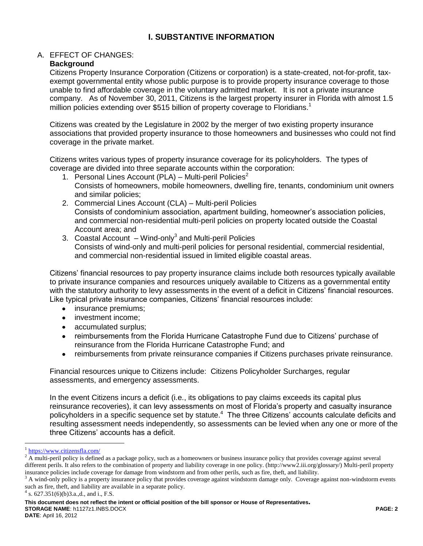## **I. SUBSTANTIVE INFORMATION**

## A. EFFECT OF CHANGES:

#### **Background**

Citizens Property Insurance Corporation (Citizens or corporation) is a state-created, not-for-profit, taxexempt governmental entity whose public purpose is to provide property insurance coverage to those unable to find affordable coverage in the voluntary admitted market. It is not a private insurance company. As of November 30, 2011, Citizens is the largest property insurer in Florida with almost 1.5 million policies extending over \$515 billion of property coverage to Floridians.<sup>1</sup>

Citizens was created by the Legislature in 2002 by the merger of two existing property insurance associations that provided property insurance to those homeowners and businesses who could not find coverage in the private market.

Citizens writes various types of property insurance coverage for its policyholders. The types of coverage are divided into three separate accounts within the corporation:

- 1. Personal Lines Account (PLA) Multi-peril Policies<sup>2</sup> Consists of homeowners, mobile homeowners, dwelling fire, tenants, condominium unit owners and similar policies;
- 2. Commercial Lines Account (CLA) Multi-peril Policies Consists of condominium association, apartment building, homeowner's association policies, and commercial non-residential multi-peril policies on property located outside the Coastal Account area; and
- 3. Coastal Account Wind-only<sup>3</sup> and Multi-peril Policies Consists of wind-only and multi-peril policies for personal residential, commercial residential, and commercial non-residential issued in limited eligible coastal areas.

Citizens' financial resources to pay property insurance claims include both resources typically available to private insurance companies and resources uniquely available to Citizens as a governmental entity with the statutory authority to levy assessments in the event of a deficit in Citizens' financial resources. Like typical private insurance companies, Citizens' financial resources include:

- insurance premiums;
- investment income;  $\bullet$
- accumulated surplus:
- reimbursements from the Florida Hurricane Catastrophe Fund due to Citizens' purchase of reinsurance from the Florida Hurricane Catastrophe Fund; and
- reimbursements from private reinsurance companies if Citizens purchases private reinsurance.  $\bullet$

Financial resources unique to Citizens include: Citizens Policyholder Surcharges, regular assessments, and emergency assessments.

In the event Citizens incurs a deficit (i.e., its obligations to pay claims exceeds its capital plus reinsurance recoveries), it can levy assessments on most of Florida's property and casualty insurance policyholders in a specific sequence set by statute.<sup>4</sup> The three Citizens' accounts calculate deficits and resulting assessment needs independently, so assessments can be levied when any one or more of the three Citizens' accounts has a deficit.

 $\overline{a}$ 

<sup>&</sup>lt;sup>1</sup> <https://www.citizensfla.com/>

 $2 \text{ A}$  multi-peril policy is defined as a package policy, such as a homeowners or business insurance policy that provides coverage against several different perils. It also refers to the combination of property and liability coverage in one policy. (http://www2.iii.org/glossary/) Multi-peril property insurance policies include coverage for damage from windstorm and from other perils, such as fire, theft, and liability.

 $3$  A wind-only policy is a property insurance policy that provides coverage against windstorm damage only. Coverage against non-windstorm events such as fire, theft, and liability are available in a separate policy.

 $4$  s. 627.351(6)(b)3.a.,d., and i., F.S.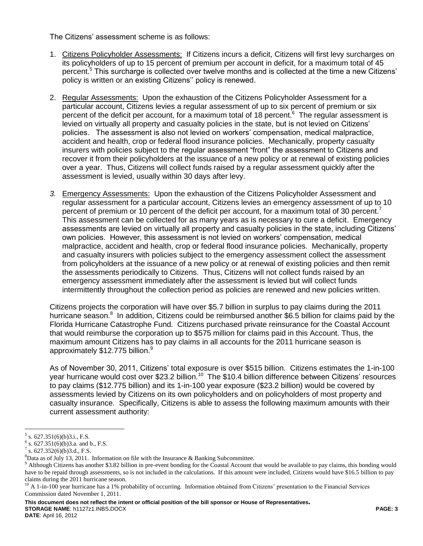The Citizens' assessment scheme is as follows:

- 1. Citizens Policyholder Assessments: If Citizens incurs a deficit, Citizens will first levy surcharges on its policyholders of up to 15 percent of premium per account in deficit, for a maximum total of 45 percent.<sup>5</sup> This surcharge is collected over twelve months and is collected at the time a new Citizens' policy is written or an existing Citizens'' policy is renewed.
- 2. Regular Assessments:Upon the exhaustion of the Citizens Policyholder Assessment for a particular account, Citizens levies a regular assessment of up to six percent of premium or six percent of the deficit per account, for a maximum total of 18 percent.<sup>6</sup> The regular assessment is levied on virtually all property and casualty policies in the state, but is not levied on Citizens' policies. The assessment is also not levied on workers' compensation, medical malpractice, accident and health, crop or federal flood insurance policies. Mechanically, property casualty insurers with policies subject to the regular assessment "front" the assessment to Citizens and recover it from their policyholders at the issuance of a new policy or at renewal of existing policies over a year. Thus, Citizens will collect funds raised by a regular assessment quickly after the assessment is levied, usually within 30 days after levy.
- *3.* Emergency Assessments: Upon the exhaustion of the Citizens Policyholder Assessment and regular assessment for a particular account, Citizens levies an emergency assessment of up to 10 percent of premium or 10 percent of the deficit per account, for a maximum total of 30 percent.<sup>7</sup> This assessment can be collected for as many years as is necessary to cure a deficit. Emergency assessments are levied on virtually all property and casualty policies in the state, including Citizens' own policies. However, this assessment is not levied on workers' compensation, medical malpractice, accident and health, crop or federal flood insurance policies. Mechanically, property and casualty insurers with policies subject to the emergency assessment collect the assessment from policyholders at the issuance of a new policy or at renewal of existing policies and then remit the assessments periodically to Citizens. Thus, Citizens will not collect funds raised by an emergency assessment immediately after the assessment is levied but will collect funds intermittently throughout the collection period as policies are renewed and new policies written.

Citizens projects the corporation will have over \$5.7 billion in surplus to pay claims during the 2011 hurricane season.<sup>8</sup> In addition, Citizens could be reimbursed another \$6.5 billion for claims paid by the Florida Hurricane Catastrophe Fund. Citizens purchased private reinsurance for the Coastal Account that would reimburse the corporation up to \$575 million for claims paid in this Account. Thus, the maximum amount Citizens has to pay claims in all accounts for the 2011 hurricane season is approximately \$12.775 billion.<sup>9</sup>

As of November 30, 2011, Citizens' total exposure is over \$515 billion. Citizens estimates the 1-in-100 year hurricane would cost over \$23.2 billion.<sup>10</sup> The \$10.4 billion difference between Citizens' resources to pay claims (\$12.775 billion) and its 1-in-100 year exposure (\$23.2 billion) would be covered by assessments levied by Citizens on its own policyholders and on policyholders of most property and casualty insurance. Specifically, Citizens is able to assess the following maximum amounts with their current assessment authority:

 $\overline{a}$ 

**This document does not reflect the intent or official position of the bill sponsor or House of Representatives***.* **STORAGE NAME**: h1127z1.INBS.DOCX **PAGE: 3 DATE**: April 16, 2012

 $5$  s. 627.351(6)(b)3.i., F.S.

 $6$  s. 627.351(6)(b)3.a. and b., F.S.

 $7$  s. 627.352(6)(b)3.d., F.S.

 ${}^{8}$ Data as of July 13, 2011. Information on file with the Insurance & Banking Subcommittee.

<sup>&</sup>lt;sup>9</sup> Although Citizens has another \$3.82 billion in pre-event bonding for the Coastal Account that would be available to pay claims, this bonding would have to be repaid through assessments, so is not included in the calculations. If this amount were included, Citizens would have \$16.5 billion to pay claims during the 2011 hurricane season.

 $10$  A 1-in-100 year hurricane has a 1% probability of occurring. Information obtained from Citizens' presentation to the Financial Services Commission dated November 1, 2011.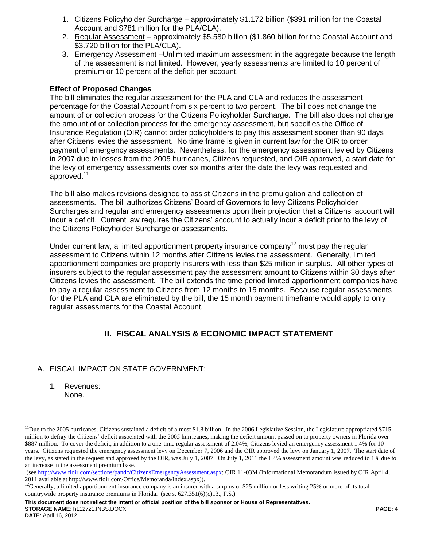- 1. Citizens Policyholder Surcharge approximately \$1.172 billion (\$391 million for the Coastal Account and \$781 million for the PLA/CLA).
- 2. Regular Assessment approximately \$5.580 billion (\$1.860 billion for the Coastal Account and \$3.720 billion for the PLA/CLA).
- 3. Emergency Assessment –Unlimited maximum assessment in the aggregate because the length of the assessment is not limited. However, yearly assessments are limited to 10 percent of premium or 10 percent of the deficit per account.

### **Effect of Proposed Changes**

The bill eliminates the regular assessment for the PLA and CLA and reduces the assessment percentage for the Coastal Account from six percent to two percent. The bill does not change the amount of or collection process for the Citizens Policyholder Surcharge. The bill also does not change the amount of or collection process for the emergency assessment, but specifies the Office of Insurance Regulation (OIR) cannot order policyholders to pay this assessment sooner than 90 days after Citizens levies the assessment. No time frame is given in current law for the OIR to order payment of emergency assessments. Nevertheless, for the emergency assessment levied by Citizens in 2007 due to losses from the 2005 hurricanes, Citizens requested, and OIR approved, a start date for the levy of emergency assessments over six months after the date the levy was requested and approved.<sup>11</sup>

The bill also makes revisions designed to assist Citizens in the promulgation and collection of assessments. The bill authorizes Citizens' Board of Governors to levy Citizens Policyholder Surcharges and regular and emergency assessments upon their projection that a Citizens' account will incur a deficit. Current law requires the Citizens' account to actually incur a deficit prior to the levy of the Citizens Policyholder Surcharge or assessments.

Under current law, a limited apportionment property insurance company<sup>12</sup> must pay the regular assessment to Citizens within 12 months after Citizens levies the assessment. Generally, limited apportionment companies are property insurers with less than \$25 million in surplus. All other types of insurers subject to the regular assessment pay the assessment amount to Citizens within 30 days after Citizens levies the assessment. The bill extends the time period limited apportionment companies have to pay a regular assessment to Citizens from 12 months to 15 months. Because regular assessments for the PLA and CLA are eliminated by the bill, the 15 month payment timeframe would apply to only regular assessments for the Coastal Account.

# **II. FISCAL ANALYSIS & ECONOMIC IMPACT STATEMENT**

## A. FISCAL IMPACT ON STATE GOVERNMENT:

1. Revenues: None.

**This document does not reflect the intent or official position of the bill sponsor or House of Representatives***.* **STORAGE NAME**: h1127z1.INBS.DOCX **PAGE: 4**

 $\overline{a}$ 

<sup>&</sup>lt;sup>11</sup>Due to the 2005 hurricanes, Citizens sustained a deficit of almost \$1.8 billion. In the 2006 Legislative Session, the Legislature appropriated \$715 million to defray the Citizens' deficit associated with the 2005 hurricanes, making the deficit amount passed on to property owners in Florida over \$887 million. To cover the deficit, in addition to a one-time regular assessment of 2.04%, Citizens levied an emergency assessment 1.4% for 10 years. Citizens requested the emergency assessment levy on December 7, 2006 and the OIR approved the levy on January 1, 2007. The start date of the levy, as stated in the request and approved by the OIR, was July 1, 2007. On July 1, 2011 the 1.4% assessment amount was reduced to 1% due to an increase in the assessment premium base.

<sup>(</sup>see [http://www.floir.com/sections/pandc/CitizensEmergencyAssessment.aspx;](http://www.floir.com/sections/pandc/CitizensEmergencyAssessment.aspx) OIR 11-03M (Informational Memorandum issued by OIR April 4, 2011 available at http://www.floir.com/Office/Memoranda/index.aspx)).

<sup>&</sup>lt;sup>12</sup>Generally, a limited apportionment insurance company is an insurer with a surplus of \$25 million or less writing 25% or more of its total countrywide property insurance premiums in Florida. (see s. 627.351(6)(c)13., F.S.)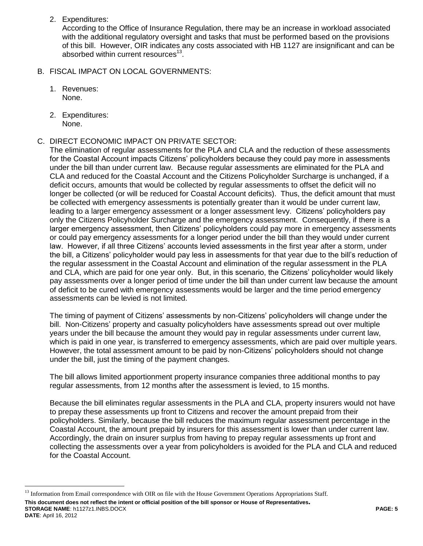2. Expenditures:

According to the Office of Insurance Regulation, there may be an increase in workload associated with the additional regulatory oversight and tasks that must be performed based on the provisions of this bill. However, OIR indicates any costs associated with HB 1127 are insignificant and can be absorbed within current resources $^{13}$ .

- B. FISCAL IMPACT ON LOCAL GOVERNMENTS:
	- 1. Revenues: None.
	- 2. Expenditures: None.

 $\overline{a}$ 

#### C. DIRECT ECONOMIC IMPACT ON PRIVATE SECTOR:

The elimination of regular assessments for the PLA and CLA and the reduction of these assessments for the Coastal Account impacts Citizens' policyholders because they could pay more in assessments under the bill than under current law. Because regular assessments are eliminated for the PLA and CLA and reduced for the Coastal Account and the Citizens Policyholder Surcharge is unchanged, if a deficit occurs, amounts that would be collected by regular assessments to offset the deficit will no longer be collected (or will be reduced for Coastal Account deficits). Thus, the deficit amount that must be collected with emergency assessments is potentially greater than it would be under current law, leading to a larger emergency assessment or a longer assessment levy. Citizens' policyholders pay only the Citizens Policyholder Surcharge and the emergency assessment. Consequently, if there is a larger emergency assessment, then Citizens' policyholders could pay more in emergency assessments or could pay emergency assessments for a longer period under the bill than they would under current law. However, if all three Citizens' accounts levied assessments in the first year after a storm, under the bill, a Citizens' policyholder would pay less in assessments for that year due to the bill's reduction of the regular assessment in the Coastal Account and elimination of the regular assessment in the PLA and CLA, which are paid for one year only. But, in this scenario, the Citizens' policyholder would likely pay assessments over a longer period of time under the bill than under current law because the amount of deficit to be cured with emergency assessments would be larger and the time period emergency assessments can be levied is not limited.

The timing of payment of Citizens' assessments by non-Citizens' policyholders will change under the bill. Non-Citizens' property and casualty policyholders have assessments spread out over multiple years under the bill because the amount they would pay in regular assessments under current law, which is paid in one year, is transferred to emergency assessments, which are paid over multiple years. However, the total assessment amount to be paid by non-Citizens' policyholders should not change under the bill, just the timing of the payment changes.

The bill allows limited apportionment property insurance companies three additional months to pay regular assessments, from 12 months after the assessment is levied, to 15 months.

Because the bill eliminates regular assessments in the PLA and CLA, property insurers would not have to prepay these assessments up front to Citizens and recover the amount prepaid from their policyholders. Similarly, because the bill reduces the maximum regular assessment percentage in the Coastal Account, the amount prepaid by insurers for this assessment is lower than under current law. Accordingly, the drain on insurer surplus from having to prepay regular assessments up front and collecting the assessments over a year from policyholders is avoided for the PLA and CLA and reduced for the Coastal Account.

**This document does not reflect the intent or official position of the bill sponsor or House of Representatives***.* **STORAGE NAME**: h1127z1.INBS.DOCX **PAGE: 5 DATE**: April 16, 2012

<sup>&</sup>lt;sup>13</sup> Information from Email correspondence with OIR on file with the House Government Operations Appropriations Staff.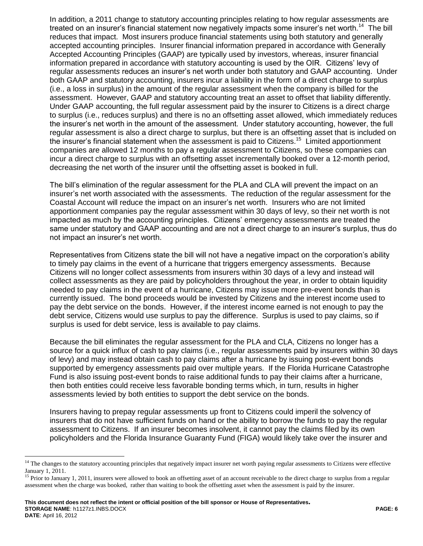In addition, a 2011 change to statutory accounting principles relating to how regular assessments are treated on an insurer's financial statement now negatively impacts some insurer's net worth.<sup>14</sup> The bill reduces that impact. Most insurers produce financial statements using both statutory and generally accepted accounting principles. Insurer financial information prepared in accordance with Generally Accepted Accounting Principles (GAAP) are typically used by investors, whereas, insurer financial information prepared in accordance with statutory accounting is used by the OIR. Citizens' levy of regular assessment*s* reduces an insurer's net worth under both statutory and GAAP accounting. Under both GAAP and statutory accounting, insurers incur a liability in the form of a direct charge to surplus (i.e., a loss in surplus) in the amount of the regular assessment when the company is billed for the assessment. However, GAAP and statutory accounting treat an asset to offset that liability differently. Under GAAP accounting, the full regular assessment paid by the insurer to Citizens is a direct charge to surplus (i.e., reduces surplus) and there is no an offsetting asset allowed, which immediately reduces the insurer's net worth in the amount of the assessment. Under statutory accounting, however, the full regular assessment is also a direct charge to surplus, but there is an offsetting asset that is included on the insurer's financial statement when the assessment is paid to Citizens.<sup>15</sup> Limited apportionment companies are allowed 12 months to pay a regular assessment to Citizens, so these companies can incur a direct charge to surplus with an offsetting asset incrementally booked over a 12-month period, decreasing the net worth of the insurer until the offsetting asset is booked in full.

The bill's elimination of the regular assessment for the PLA and CLA will prevent the impact on an insurer's net worth associated with the assessments. The reduction of the regular assessment for the Coastal Account will reduce the impact on an insurer's net worth. Insurers who are not limited apportionment companies pay the regular assessment within 30 days of levy, so their net worth is not impacted as much by the accounting principles. Citizens' emergency assessments are treated the same under statutory and GAAP accounting and are not a direct charge to an insurer's surplus, thus do not impact an insurer's net worth.

Representatives from Citizens state the bill will not have a negative impact on the corporation's ability to timely pay claims in the event of a hurricane that triggers emergency assessments. Because Citizens will no longer collect assessments from insurers within 30 days of a levy and instead will collect assessments as they are paid by policyholders throughout the year, in order to obtain liquidity needed to pay claims in the event of a hurricane, Citizens may issue more pre-event bonds than is currently issued. The bond proceeds would be invested by Citizens and the interest income used to pay the debt service on the bonds. However, if the interest income earned is not enough to pay the debt service, Citizens would use surplus to pay the difference. Surplus is used to pay claims, so if surplus is used for debt service, less is available to pay claims.

Because the bill eliminates the regular assessment for the PLA and CLA, Citizens no longer has a source for a quick influx of cash to pay claims (i.e., regular assessments paid by insurers within 30 days of levy) and may instead obtain cash to pay claims after a hurricane by issuing post-event bonds supported by emergency assessments paid over multiple years. If the Florida Hurricane Catastrophe Fund is also issuing post-event bonds to raise additional funds to pay their claims after a hurricane, then both entities could receive less favorable bonding terms which, in turn, results in higher assessments levied by both entities to support the debt service on the bonds.

Insurers having to prepay regular assessments up front to Citizens could imperil the solvency of insurers that do not have sufficient funds on hand or the ability to borrow the funds to pay the regular assessment to Citizens. If an insurer becomes insolvent, it cannot pay the claims filed by its own policyholders and the Florida Insurance Guaranty Fund (FIGA) would likely take over the insurer and

 $\overline{a}$ 

<sup>&</sup>lt;sup>14</sup> The changes to the statutory accounting principles that negatively impact insurer net worth paying regular assessments to Citizens were effective January 1, 2011.

<sup>&</sup>lt;sup>15</sup> Prior to January 1, 2011, insurers were allowed to book an offsetting asset of an account receivable to the direct charge to surplus from a regular assessment when the charge was booked, rather than waiting to book the offsetting asset when the assessment is paid by the insurer.